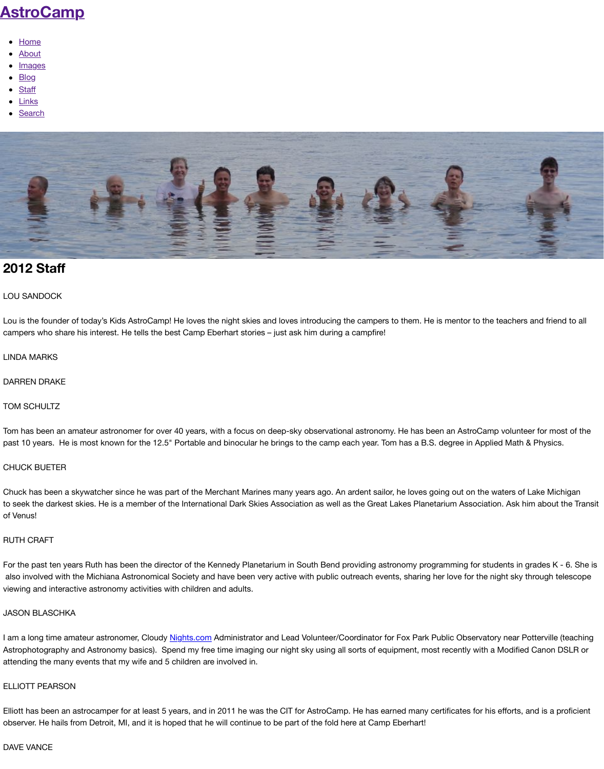# **[2012 Sta](http://www.astrocamp.us/)ff**

# LOU SANDOCK

Lou [is the](http://www.astrocamp.us/index.php/about/) founder of today's Kids AstroCamp! He loves the night skies and loves introducing the camper ca[mpers wh](http://www.astrocamp.us/index.php/2003-2011/)o share his interest. He tells the best Camp Eberhart stories – just ask him during a campfire!

### LIN[DA MA](http://www.astrocamp.us/index.php/staff/)RKS

#### DA[RREN DR](http://www.astrocamp.us/index.php/search/)AKE

## TOM SCHULTZ

Tom has been an amateur astronomer for over 40 years, with a focus on deep-sky observational astronor past 10 years. He is most known for the 12.5" Portable and binocular he brings to the camp each year. T

#### CHUCK BUETER

Chuck has been a skywatcher since he was part of the Merchant Marines many years ago. An ardent sail to seek the darkest skies. He is a member of the International Dark Skies Association as well as the Grea of Venus!

#### RUTH CRAFT

For the past ten years Ruth has been the director of the Kennedy Planetarium in South Bend providing as also involved with the Michiana Astronomical Society and have been very active with public outreach events, sharing her love for the night sky through sky through telescope for the night sky through telescope for the numbe viewing and interactive astronomy activities with children and adults.

#### JASON BLASCHKA

I am a long time amateur astronomer, Cloudy Nights.com Administrator and Lead Volunteer/Coordinator Astrophotography and Astronomy basics). Spend my free time imaging our night sky using all sorts of equipment attending the many events that my wife and 5 children are involved in.

#### ELLIOTT PEARSON

Elliott has been an astrocamper for at least 5 years, and in 2011 he was the CIT for AstroCamp. He has e observer. He hails from Detroit, MI, and it is hoped that he will continue to be part of the fold here at Cam

#### DAVE VANCE